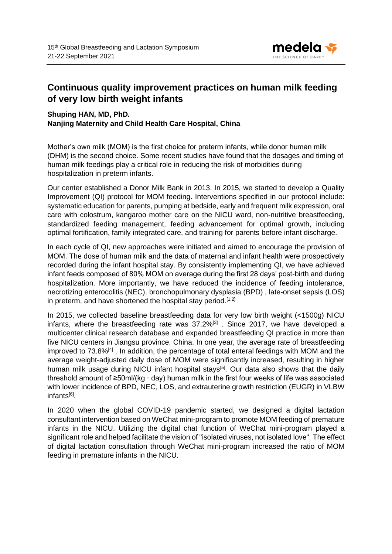

## **Continuous quality improvement practices on human milk feeding of very low birth weight infants**

## **Shuping HAN, MD, PhD. Nanjing Maternity and Child Health Care Hospital, China**

Mother's own milk (MOM) is the first choice for preterm infants, while donor human milk (DHM) is the second choice. Some recent studies have found that the dosages and timing of human milk feedings play a critical role in reducing the risk of morbidities during hospitalization in preterm infants.

Our center established a Donor Milk Bank in 2013. In 2015, we started to develop a Quality Improvement (QI) protocol for MOM feeding. Interventions specified in our protocol include: systematic education for parents, pumping at bedside, early and frequent milk expression, oral care with colostrum, kangaroo mother care on the NICU ward, non-nutritive breastfeeding, standardized feeding management, feeding advancement for optimal growth, including optimal fortification, family integrated care, and training for parents before infant discharge.

In each cycle of QI, new approaches were initiated and aimed to encourage the provision of MOM. The dose of human milk and the data of maternal and infant health were prospectively recorded during the infant hospital stay. By consistently implementing QI, we have achieved infant feeds composed of 80% MOM on average during the first 28 days' post-birth and during hospitalization. More importantly, we have reduced the incidence of feeding intolerance, necrotizing enterocolitis (NEC), bronchopulmonary dysplasia (BPD) , late-onset sepsis (LOS) in preterm, and have shortened the hospital stay period.<sup>[1.2]</sup>

In 2015, we collected baseline breastfeeding data for very low birth weight (<1500g) NICU infants, where the breastfeeding rate was  $37.2\%^{3}$ . Since 2017, we have developed a multicenter clinical research database and expanded breastfeeding QI practice in more than five NICU centers in Jiangsu province, China. In one year, the average rate of breastfeeding improved to 73.8%<sup>[4]</sup>. In addition, the percentage of total enteral feedings with MOM and the average weight-adjusted daily dose of MOM were significantly increased, resulting in higher human milk usage during NICU infant hospital stays<sup>[5]</sup>. Our data also shows that the daily threshold amount of ≥50ml/(kg · day) human milk in the first four weeks of life was associated with lower incidence of BPD, NEC, LOS, and extrauterine growth restriction (EUGR) in VLBW infants<sup>[6]</sup>.

In 2020 when the global COVID-19 pandemic started, we designed a digital lactation consultant intervention based on WeChat mini-program to promote MOM feeding of premature infants in the NICU. Utilizing the digital chat function of WeChat mini-program played a significant role and helped facilitate the vision of "isolated viruses, not isolated love". The effect of digital lactation consultation through WeChat mini-program increased the ratio of MOM feeding in premature infants in the NICU.